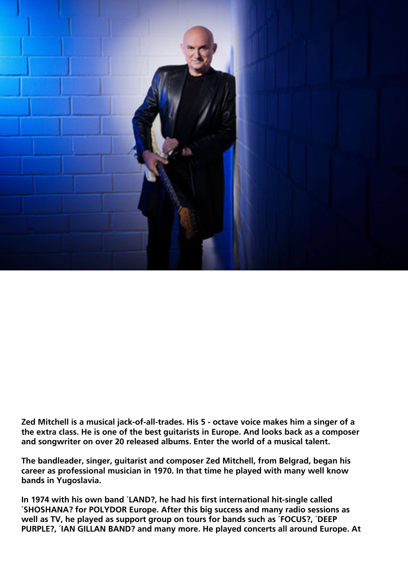

**Zed Mitchell is a musical jack-of-all-trades. His 5 - octave voice makes him a singer of a the extra class. He is one of the best guitarists in Europe. And looks back as a composer and songwriter on over 20 released albums. Enter the world of a musical talent.**

**The bandleader, singer, guitarist and composer Zed Mitchell, from Belgrad, began his career as professional musician in 1970. In that time he played with many well know bands in Yugoslavia.**

**In 1974 with his own band ´LAND?, he had his first international hit-single called ´SHOSHANA? for POLYDOR Europe. After this big success and many radio sessions as well as TV, he played as support group on tours for bands such as ´FOCUS?, ´DEEP PURPLE?, ´IAN GILLAN BAND? and many more. He played concerts all around Europe. At**